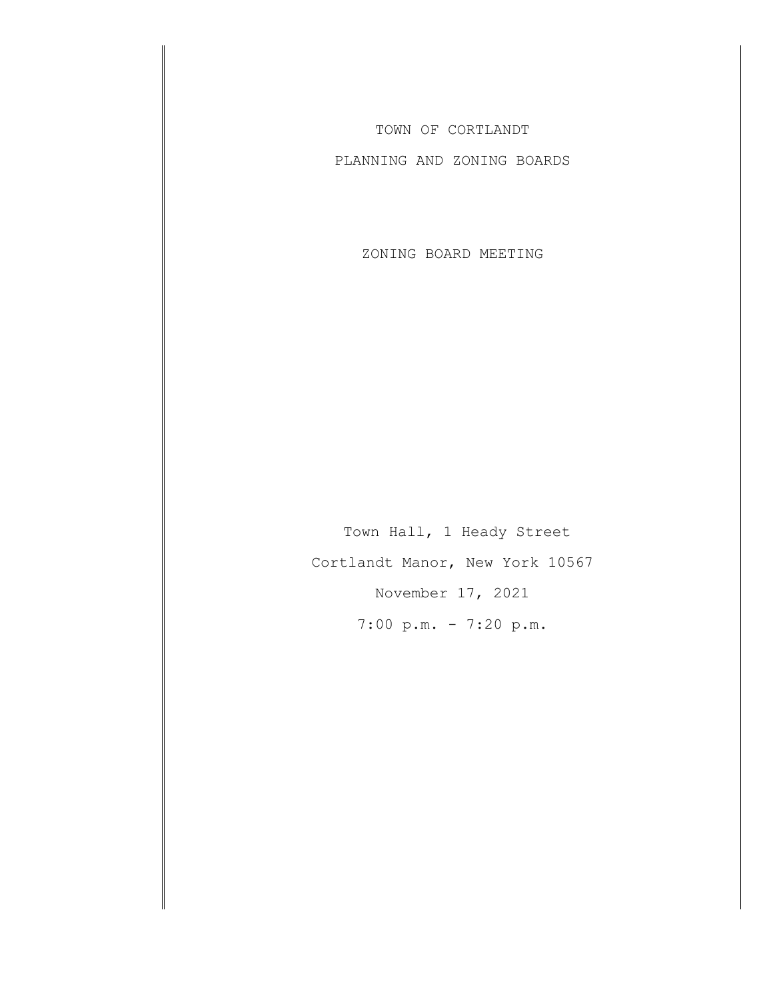TOWN OF CORTLANDT

PLANNING AND ZONING BOARDS

ZONING BOARD MEETING

Town Hall, 1 Heady Street Cortlandt Manor, New York 10567 November 17, 2021 7:00 p.m. - 7:20 p.m.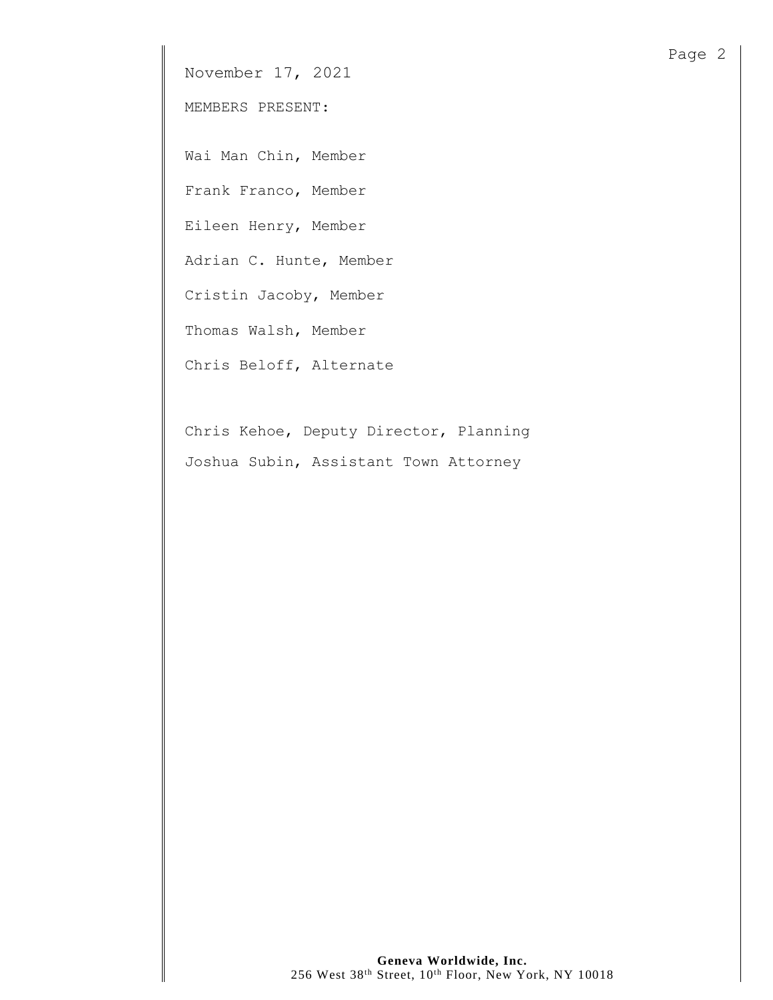November 17, 2021

MEMBERS PRESENT:

Wai Man Chin, Member

Frank Franco, Member

Eileen Henry, Member

Adrian C. Hunte, Member

Cristin Jacoby, Member

Thomas Walsh, Member

Chris Beloff, Alternate

Chris Kehoe, Deputy Director, Planning Joshua Subin, Assistant Town Attorney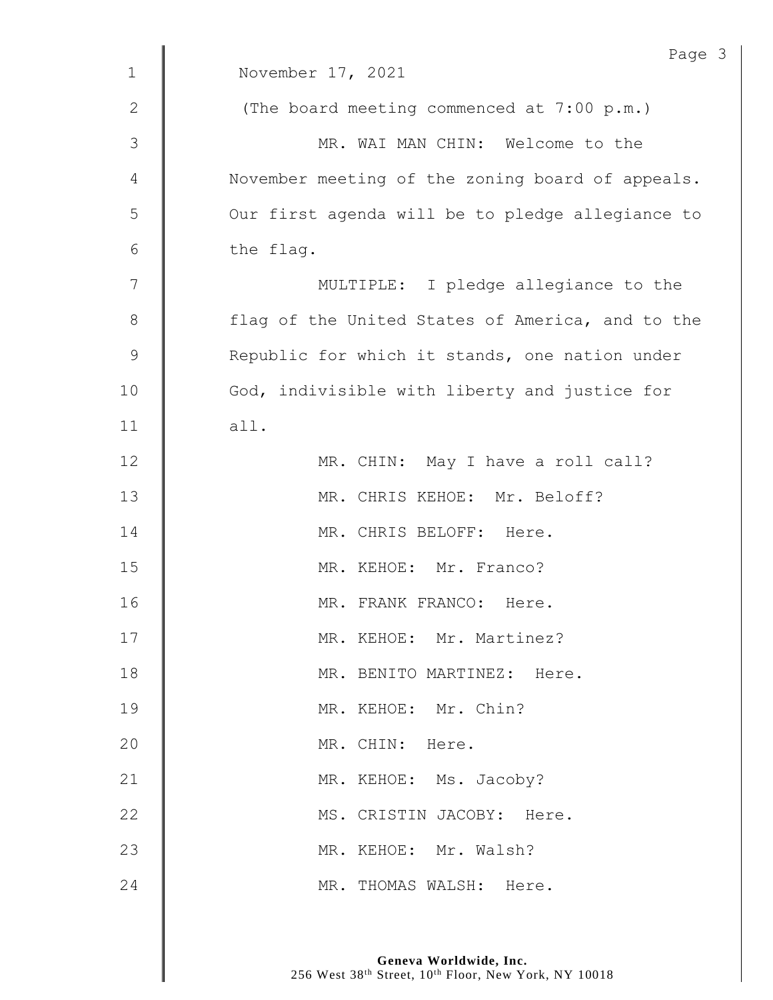| $\mathbf 1$    | Page<br>November 17, 2021                        |
|----------------|--------------------------------------------------|
| $\mathbf{2}$   | (The board meeting commenced at 7:00 p.m.)       |
| 3              | MR. WAI MAN CHIN: Welcome to the                 |
| $\overline{4}$ | November meeting of the zoning board of appeals. |
| 5              | Our first agenda will be to pledge allegiance to |
| 6              | the flag.                                        |
| 7              | MULTIPLE: I pledge allegiance to the             |
| $\,8\,$        | flag of the United States of America, and to the |
| $\mathsf 9$    | Republic for which it stands, one nation under   |
| 10             | God, indivisible with liberty and justice for    |
| 11             | all.                                             |
| 12             | MR. CHIN: May I have a roll call?                |
| 13             | MR. CHRIS KEHOE: Mr. Beloff?                     |
| 14             | MR. CHRIS BELOFF: Here.                          |
| 15             | MR. KEHOE: Mr. Franco?                           |
| 16             | MR.<br>FRANK FRANCO: Here                        |
| 17             | MR. KEHOE: Mr. Martinez?                         |
| 18             | MR. BENITO MARTINEZ: Here.                       |
| 19             | MR. KEHOE: Mr. Chin?                             |
| 20             | MR. CHIN: Here.                                  |
| 21             | MR. KEHOE: Ms. Jacoby?                           |
| 22             | MS. CRISTIN JACOBY: Here.                        |
| 23             | MR. KEHOE: Mr. Walsh?                            |
| 24             | MR. THOMAS WALSH: Here.                          |

 $\mathfrak{Z}$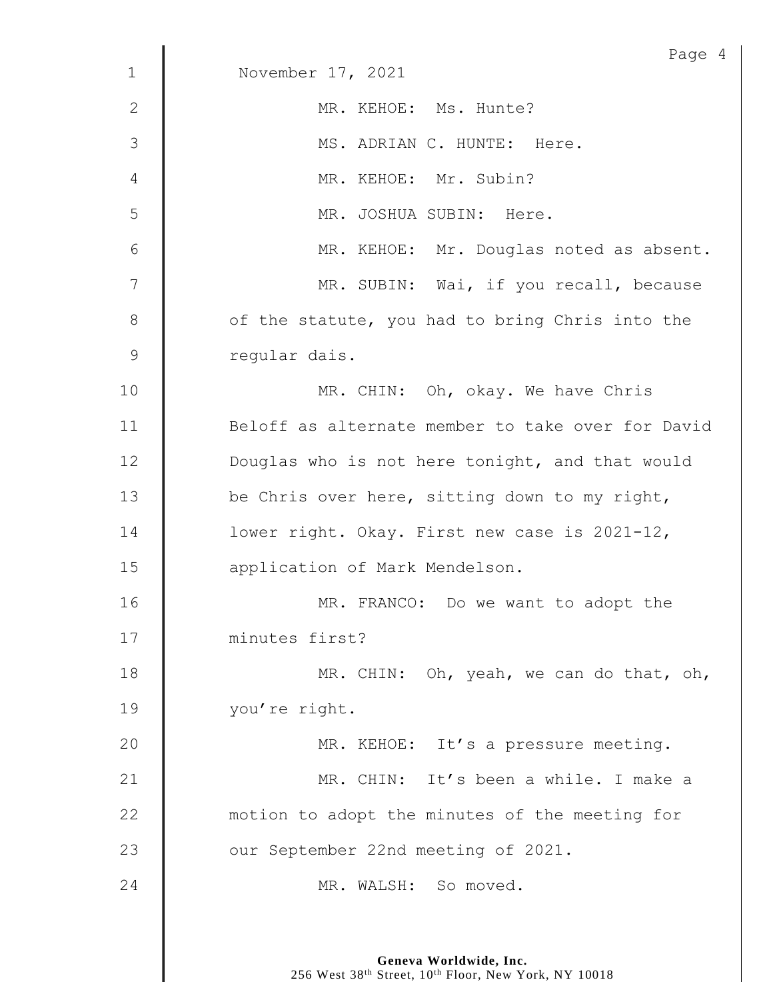|               | Page 4                                            |
|---------------|---------------------------------------------------|
| $\mathbf{1}$  | November 17, 2021                                 |
| 2             | MR. KEHOE: Ms. Hunte?                             |
| 3             | MS. ADRIAN C. HUNTE: Here.                        |
| 4             | MR. KEHOE: Mr. Subin?                             |
| 5             | MR. JOSHUA SUBIN: Here.                           |
| 6             | MR. KEHOE: Mr. Douglas noted as absent.           |
| 7             | MR. SUBIN: Wai, if you recall, because            |
| 8             | of the statute, you had to bring Chris into the   |
| $\mathcal{G}$ | regular dais.                                     |
| 10            | MR. CHIN: Oh, okay. We have Chris                 |
| 11            | Beloff as alternate member to take over for David |
| 12            | Douglas who is not here tonight, and that would   |
| 13            | be Chris over here, sitting down to my right,     |
| 14            | lower right. Okay. First new case is 2021-12,     |
| 15            | application of Mark Mendelson.                    |
| 16            | MR. FRANCO: Do we want to adopt the               |
| 17            | minutes first?                                    |
| 18            | MR. CHIN: Oh, yeah, we can do that, oh,           |
| 19            | you're right.                                     |
| 20            | MR. KEHOE: It's a pressure meeting.               |
| 21            | MR. CHIN: It's been a while. I make a             |
| 22            | motion to adopt the minutes of the meeting for    |
| 23            | our September 22nd meeting of 2021.               |
| 24            | MR. WALSH: So moved.                              |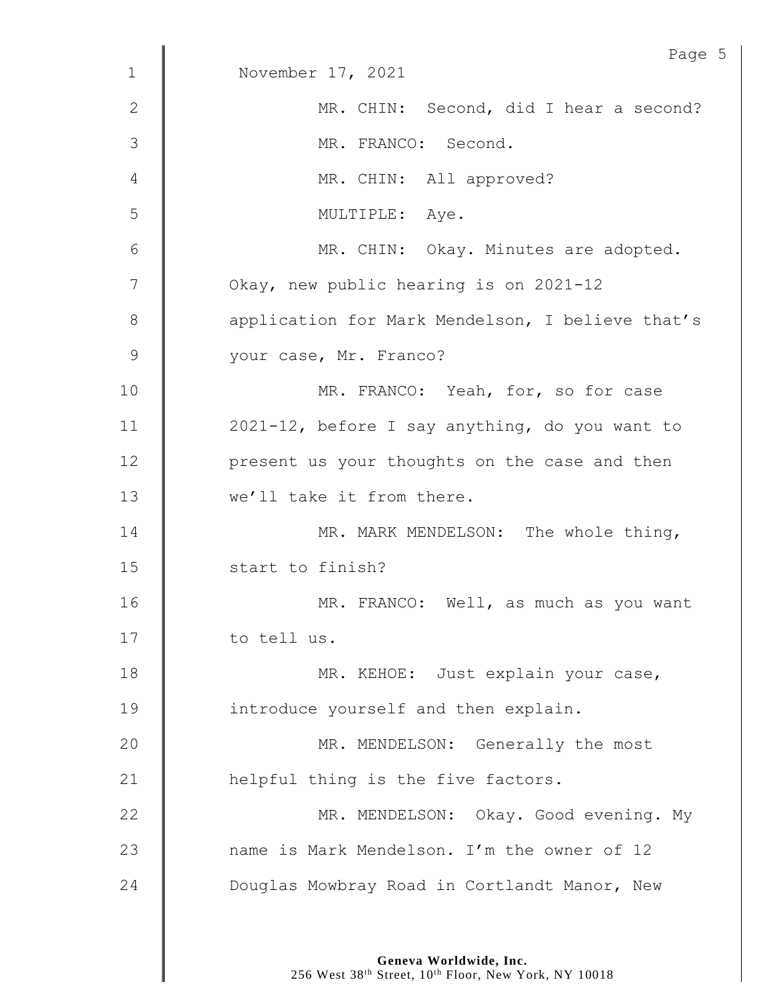|              | Page 5                                           |
|--------------|--------------------------------------------------|
| $\mathbf{1}$ | November 17, 2021                                |
| 2            | MR. CHIN: Second, did I hear a second?           |
| 3            | MR. FRANCO: Second.                              |
| 4            | MR. CHIN: All approved?                          |
| 5            | MULTIPLE: Aye.                                   |
| 6            | MR. CHIN: Okay. Minutes are adopted.             |
| 7            | Okay, new public hearing is on 2021-12           |
| 8            | application for Mark Mendelson, I believe that's |
| $\mathsf 9$  | your case, Mr. Franco?                           |
| 10           | MR. FRANCO: Yeah, for, so for case               |
| 11           | 2021-12, before I say anything, do you want to   |
| 12           | present us your thoughts on the case and then    |
| 13           | we'll take it from there.                        |
| 14           | MR. MARK MENDELSON: The whole thing,             |
| 15           | start to finish?                                 |
| 16           | MR. FRANCO: Well, as much as you want            |
| 17           | to tell us.                                      |
| 18           | MR. KEHOE: Just explain your case,               |
| 19           | introduce yourself and then explain.             |
| 20           | MR. MENDELSON: Generally the most                |
| 21           | helpful thing is the five factors.               |
| 22           | MR. MENDELSON: Okay. Good evening. My            |
| 23           | name is Mark Mendelson. I'm the owner of 12      |
| 24           | Douglas Mowbray Road in Cortlandt Manor, New     |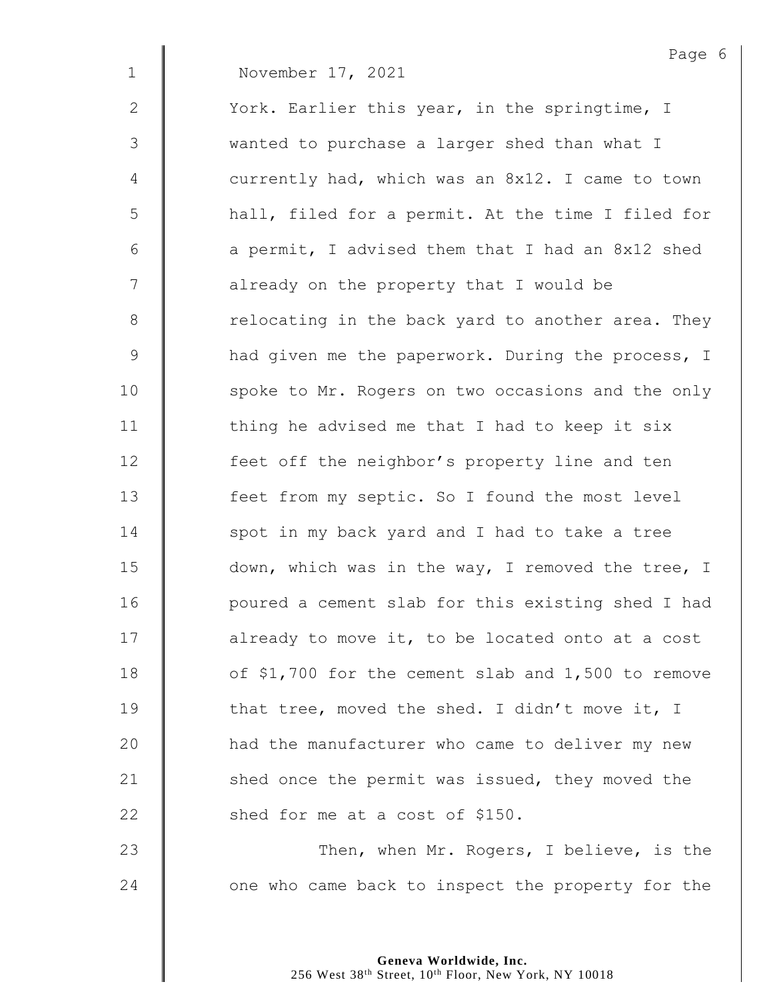Page 6 1 November 17, 2021 2 | York. Earlier this year, in the springtime, I 3 wanted to purchase a larger shed than what I 4 | currently had, which was an 8x12. I came to town 5 | hall, filed for a permit. At the time I filed for 6  $\parallel$  a permit, I advised them that I had an 8x12 shed 7 | already on the property that I would be 8 Telocating in the back yard to another area. They 9 And given me the paperwork. During the process, I 10 | spoke to Mr. Rogers on two occasions and the only 11  $\parallel$  thing he advised me that I had to keep it six 12 | feet off the neighbor's property line and ten 13 | feet from my septic. So I found the most level  $14$  | spot in my back yard and I had to take a tree 15 down, which was in the way, I removed the tree, I 16 | poured a cement slab for this existing shed I had  $17$  | already to move it, to be located onto at a cost 18 **J** of \$1,700 for the cement slab and 1,500 to remove 19  $\parallel$  that tree, moved the shed. I didn't move it, I 20 | had the manufacturer who came to deliver my new 21 | shed once the permit was issued, they moved the 22 **Shed for me at a cost of \$150.** 23 | Then, when Mr. Rogers, I believe, is the

24 **J** one who came back to inspect the property for the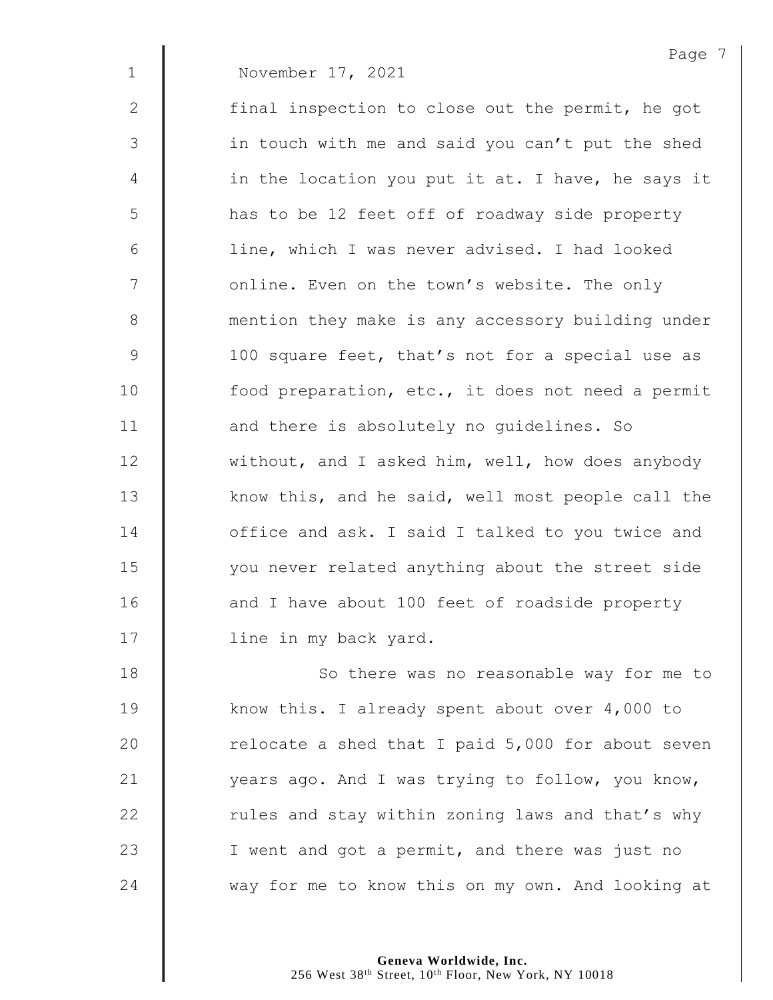1 November 17, 2021

2 | final inspection to close out the permit, he got 3 || in touch with me and said you can't put the shed 4 | in the location you put it at. I have, he says it 5 | has to be 12 feet off of roadway side property 6 | line, which I was never advised. I had looked 7 | online. Even on the town's website. The only 8 **M** mention they make is any accessory building under 9 | 100 square feet, that's not for a special use as 10 | food preparation, etc., it does not need a permit 11 **decia)** and there is absolutely no quidelines. So 12 without, and I asked him, well, how does anybody 13 Know this, and he said, well most people call the 14 **deger** office and ask. I said I talked to you twice and 15 | vou never related anything about the street side 16 | and I have about 100 feet of roadside property 17 | line in my back yard.

18 | So there was no reasonable way for me to 19 Know this. I already spent about over 4,000 to 20  $\parallel$  relocate a shed that I paid 5,000 for about seven 21 | years ago. And I was trying to follow, you know,  $22$   $\parallel$  rules and stay within zoning laws and that's why 23 | I went and got a permit, and there was just no 24 way for me to know this on my own. And looking at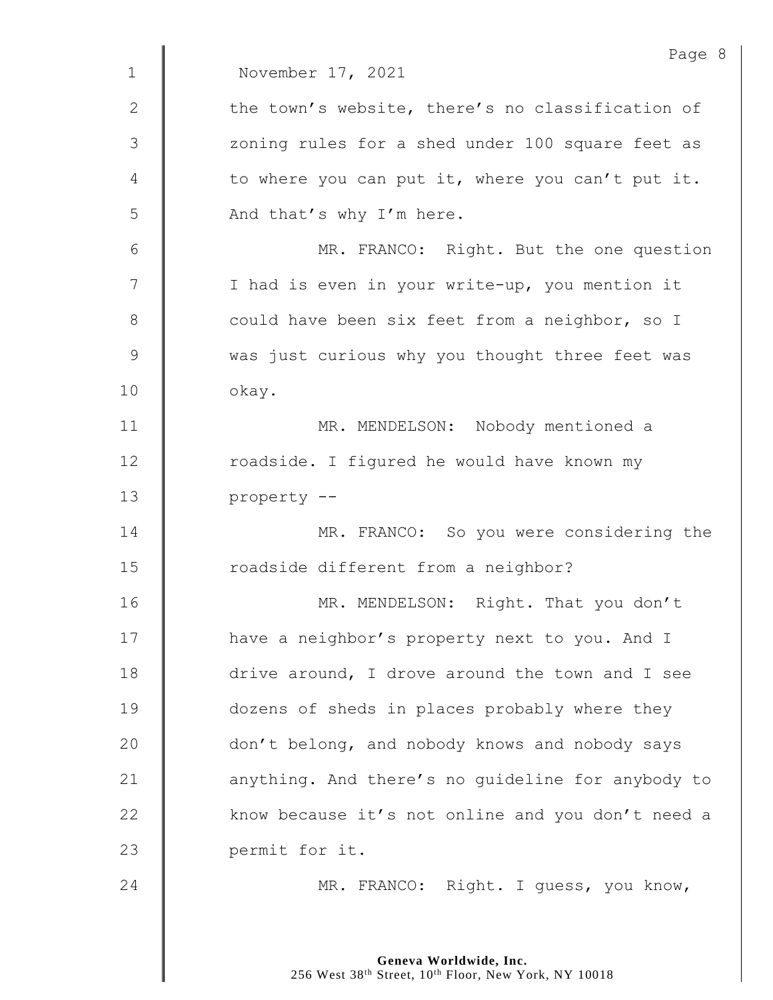|              | Page 8                                            |
|--------------|---------------------------------------------------|
| $\mathbf{1}$ | November 17, 2021                                 |
| $\mathbf{2}$ | the town's website, there's no classification of  |
| 3            | zoning rules for a shed under 100 square feet as  |
| 4            | to where you can put it, where you can't put it.  |
| 5            | And that's why I'm here.                          |
| 6            | MR. FRANCO: Right. But the one question           |
| 7            | I had is even in your write-up, you mention it    |
| $8\,$        | could have been six feet from a neighbor, so I    |
| 9            | was just curious why you thought three feet was   |
| 10           | okay.                                             |
| 11           | MR. MENDELSON: Nobody mentioned a                 |
| 12           | roadside. I figured he would have known my        |
| 13           | property --                                       |
| 14           | MR. FRANCO: So you were considering the           |
| 15           | roadside different from a neighbor?               |
| 16           | MR. MENDELSON: Right. That you don't              |
| 17           | have a neighbor's property next to you. And I     |
| 18           | drive around, I drove around the town and I see   |
| 19           | dozens of sheds in places probably where they     |
| 20           | don't belong, and nobody knows and nobody says    |
| 21           | anything. And there's no guideline for anybody to |
| 22           | know because it's not online and you don't need a |
| 23           | permit for it.                                    |
| 24           | MR. FRANCO: Right. I guess, you know,             |
|              |                                                   |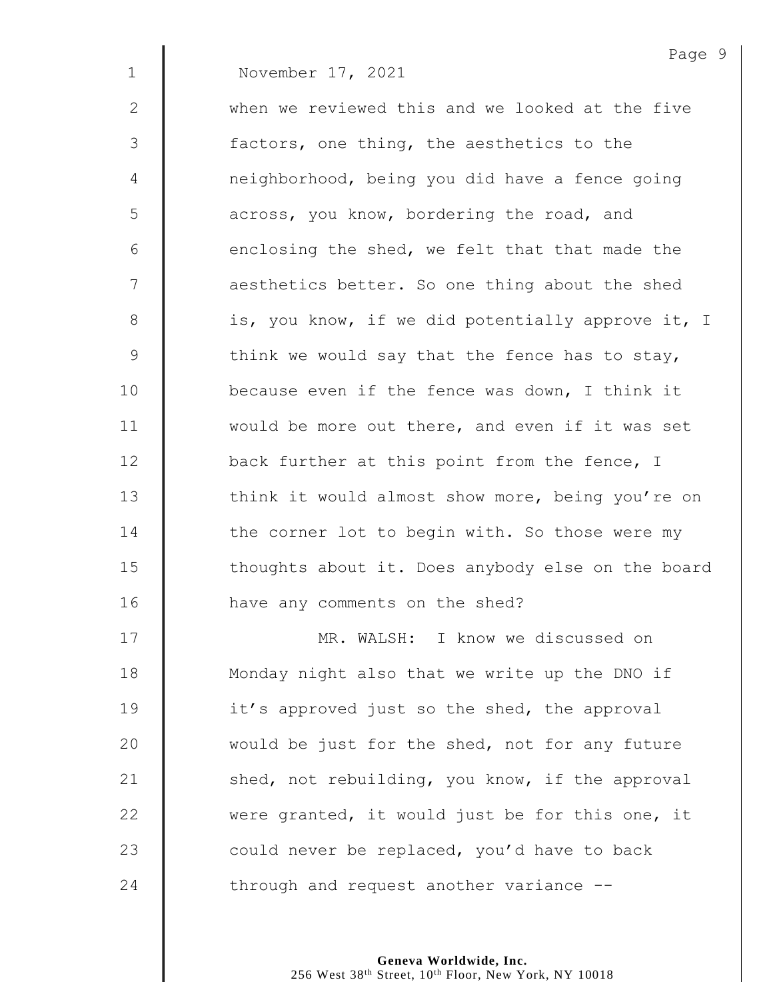1 November 17, 2021

2 when we reviewed this and we looked at the five 3 | factors, one thing, the aesthetics to the 4 | neighborhood, being you did have a fence going 5 | across, you know, bordering the road, and  $6$  || enclosing the shed, we felt that that made the 7  $\parallel$  aesthetics better. So one thing about the shed 8 | is, you know, if we did potentially approve it, I 9  $\parallel$  think we would say that the fence has to stay, 10 **because even if the fence was down,** I think it 11 | would be more out there, and even if it was set 12  $\parallel$  back further at this point from the fence, I 13 | think it would almost show more, being you're on 14 The corner lot to begin with. So those were my 15 | thoughts about it. Does anybody else on the board 16 | have any comments on the shed?

 MR. WALSH: I know we discussed on 18 | Monday night also that we write up the DNO if **it's** approved just so the shed, the approval 20 would be just for the shed, not for any future  $\parallel$  shed, not rebuilding, you know, if the approval 22 were granted, it would just be for this one, it  $\parallel$  could never be replaced, you'd have to back  $\parallel$  through and request another variance  $-$ 

> **Geneva Worldwide, Inc.** 256 West 38<sup>th</sup> Street, 10<sup>th</sup> Floor, New York, NY 10018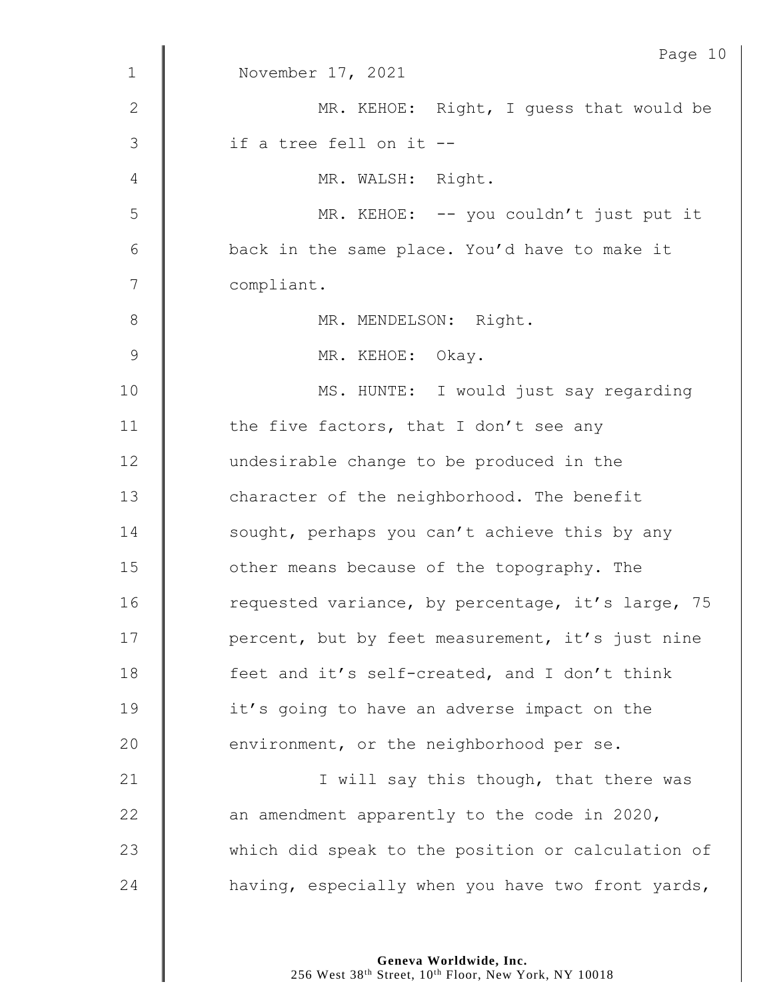|                | Page 10                                           |
|----------------|---------------------------------------------------|
| $\mathbf 1$    | November 17, 2021                                 |
| $\mathbf{2}$   | MR. KEHOE: Right, I quess that would be           |
| $\mathfrak{Z}$ | if a tree fell on it --                           |
| 4              | MR. WALSH: Right.                                 |
| 5              | MR. KEHOE: -- you couldn't just put it            |
| 6              | back in the same place. You'd have to make it     |
| 7              | compliant.                                        |
| $8\,$          | MR. MENDELSON: Right.                             |
| $\mathsf 9$    | MR. KEHOE: Okay.                                  |
| 10             | MS. HUNTE: I would just say regarding             |
| 11             | the five factors, that I don't see any            |
| 12             | undesirable change to be produced in the          |
| 13             | character of the neighborhood. The benefit        |
| 14             | sought, perhaps you can't achieve this by any     |
| 15             | other means because of the topography. The        |
| 16             | requested variance, by percentage, it's large, 75 |
| 17             | percent, but by feet measurement, it's just nine  |
| 18             | feet and it's self-created, and I don't think     |
| 19             | it's going to have an adverse impact on the       |
| 20             | environment, or the neighborhood per se.          |
| 21             | I will say this though, that there was            |
| 22             | an amendment apparently to the code in 2020,      |
| 23             | which did speak to the position or calculation of |
| 24             | having, especially when you have two front yards, |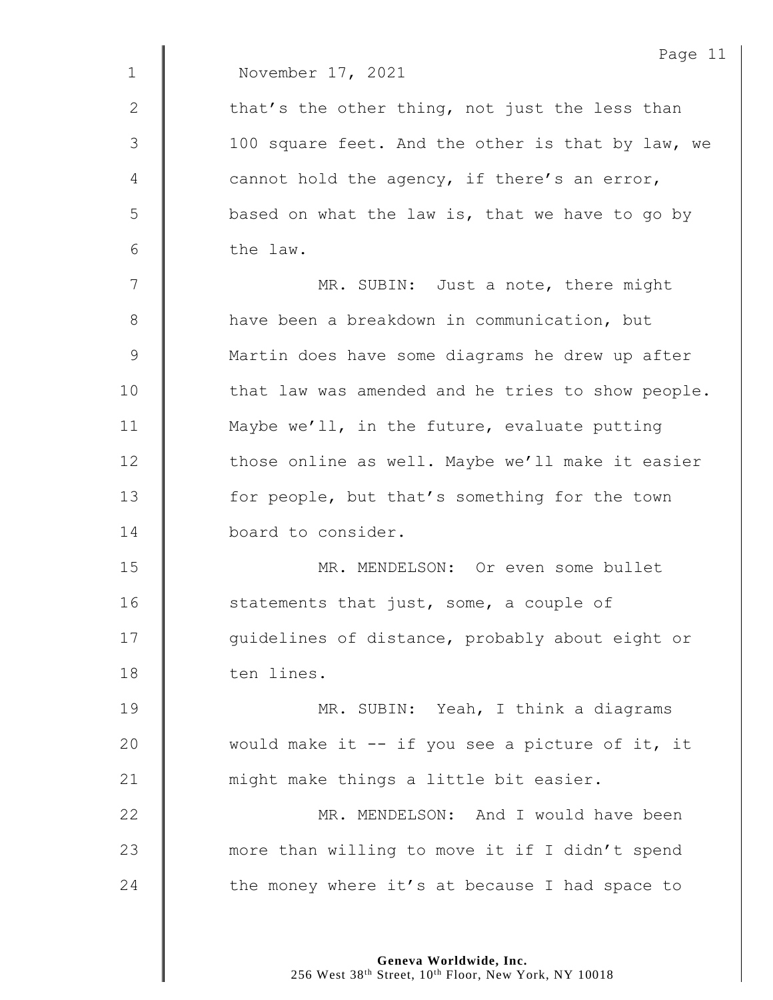|             | Page 11                                           |
|-------------|---------------------------------------------------|
| $\mathbf 1$ | November 17, 2021                                 |
| 2           | that's the other thing, not just the less than    |
| 3           | 100 square feet. And the other is that by law, we |
| 4           | cannot hold the agency, if there's an error,      |
| 5           | based on what the law is, that we have to go by   |
| 6           | the law.                                          |
| 7           | MR. SUBIN: Just a note, there might               |
| 8           | have been a breakdown in communication, but       |
| $\mathsf 9$ | Martin does have some diagrams he drew up after   |
| 10          | that law was amended and he tries to show people. |
| 11          | Maybe we'll, in the future, evaluate putting      |
| 12          | those online as well. Maybe we'll make it easier  |
| 13          | for people, but that's something for the town     |
| 14          | board to consider.                                |
| 15          | MR. MENDELSON: Or even some bullet                |
| 16          | statements that just, some, a couple of           |
| 17          | guidelines of distance, probably about eight or   |
| 18          | ten lines.                                        |
| 19          | MR. SUBIN: Yeah, I think a diagrams               |
| 20          | would make it -- if you see a picture of it, it   |
| 21          | might make things a little bit easier.            |
| 22          | MR. MENDELSON: And I would have been              |
| 23          | more than willing to move it if I didn't spend    |
| 24          | the money where it's at because I had space to    |
|             |                                                   |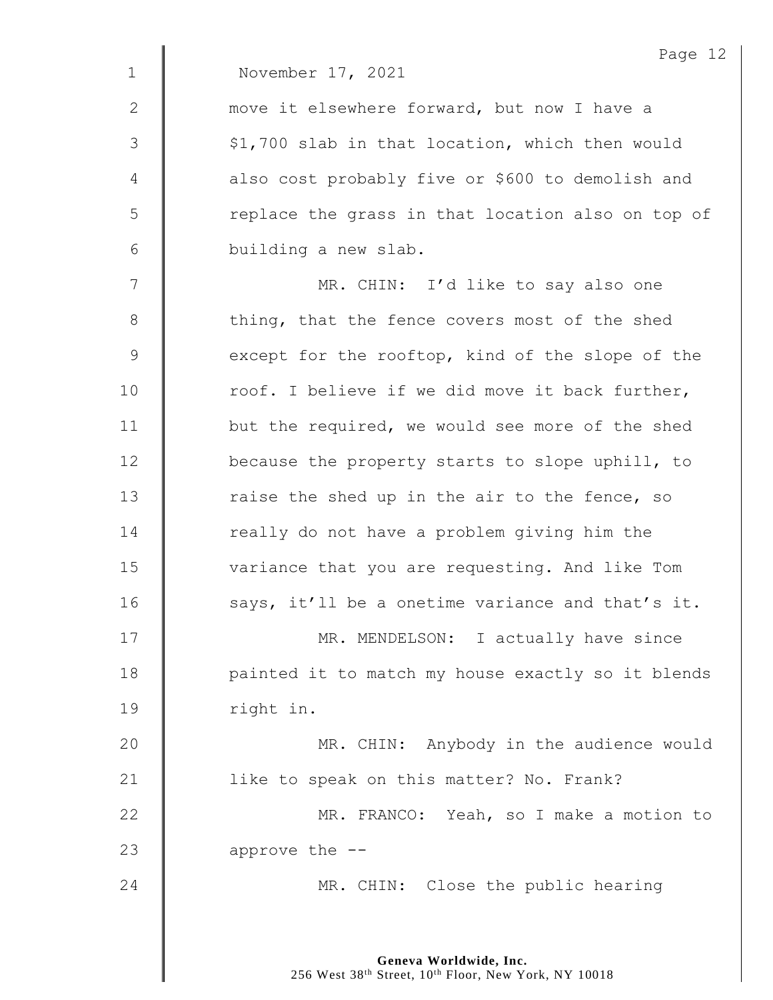|                | Page 12                                           |
|----------------|---------------------------------------------------|
| $\mathbf 1$    | November 17, 2021                                 |
| $\mathbf{2}$   | move it elsewhere forward, but now I have a       |
| $\mathcal{S}$  | \$1,700 slab in that location, which then would   |
| $\overline{4}$ | also cost probably five or \$600 to demolish and  |
| 5              | replace the grass in that location also on top of |
| 6              | building a new slab.                              |
| 7              | MR. CHIN: I'd like to say also one                |
| $\,8\,$        | thing, that the fence covers most of the shed     |
| $\mathsf 9$    | except for the rooftop, kind of the slope of the  |
| 10             | roof. I believe if we did move it back further,   |
| 11             | but the required, we would see more of the shed   |
| 12             | because the property starts to slope uphill, to   |
| 13             | raise the shed up in the air to the fence, so     |
| 14             | really do not have a problem giving him the       |
| 15             | variance that you are requesting. And like Tom    |
| 16             | says, it'll be a onetime variance and that's it.  |
| 17             | MR. MENDELSON: I actually have since              |
| 18             | painted it to match my house exactly so it blends |
| 19             | right in.                                         |
| 20             | MR. CHIN: Anybody in the audience would           |
| 21             | like to speak on this matter? No. Frank?          |
| 22             | MR. FRANCO: Yeah, so I make a motion to           |
| 23             | approve the --                                    |
| 24             | MR. CHIN: Close the public hearing                |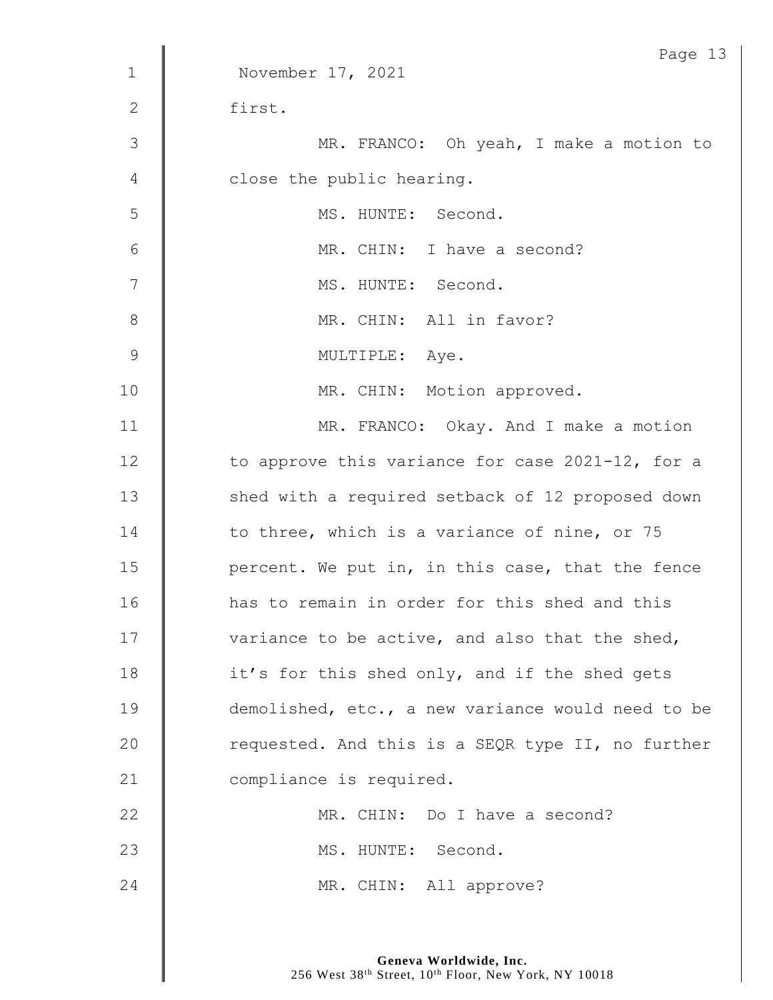| $\mathbf{1}$    | Page 13<br>November 17, 2021                      |
|-----------------|---------------------------------------------------|
|                 |                                                   |
| 2               | first.                                            |
| $\mathcal{S}$   | MR. FRANCO: Oh yeah, I make a motion to           |
| 4               | close the public hearing.                         |
| 5               | MS. HUNTE: Second.                                |
| $6\phantom{.}6$ | MR. CHIN: I have a second?                        |
| 7               | MS. HUNTE: Second.                                |
| 8               | MR. CHIN: All in favor?                           |
| $\mathcal{G}$   | MULTIPLE: Aye.                                    |
| 10              | MR. CHIN: Motion approved.                        |
| 11              | MR. FRANCO: Okay. And I make a motion             |
| 12              | to approve this variance for case 2021-12, for a  |
| 13              | shed with a required setback of 12 proposed down  |
| 14              | to three, which is a variance of nine, or 75      |
| 15              | percent. We put in, in this case, that the fence  |
| 16              | has to remain in order for this shed and this     |
| 17              | variance to be active, and also that the shed,    |
| 18              | it's for this shed only, and if the shed gets     |
| 19              | demolished, etc., a new variance would need to be |
| 20              | requested. And this is a SEQR type II, no further |
| 21              | compliance is required.                           |
| 22              | MR. CHIN: Do I have a second?                     |
| 23              | MS. HUNTE: Second.                                |
| 24              | MR. CHIN: All approve?                            |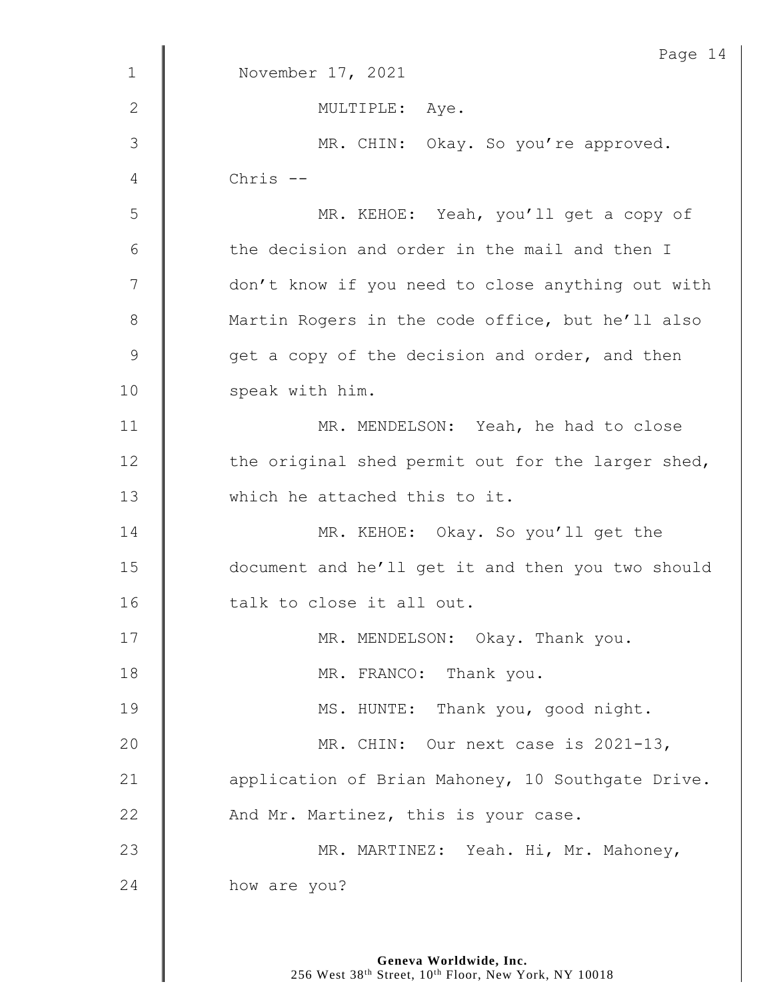|               | Page 14                                           |
|---------------|---------------------------------------------------|
| $\mathbf 1$   | November 17, 2021                                 |
| $\mathbf{2}$  | MULTIPLE: Aye.                                    |
| 3             | MR. CHIN: Okay. So you're approved.               |
| 4             | Chris --                                          |
| 5             | MR. KEHOE: Yeah, you'll get a copy of             |
| 6             | the decision and order in the mail and then I     |
| 7             | don't know if you need to close anything out with |
| $8\,$         | Martin Rogers in the code office, but he'll also  |
| $\mathcal{G}$ | get a copy of the decision and order, and then    |
| 10            | speak with him.                                   |
| 11            | MR. MENDELSON: Yeah, he had to close              |
| 12            | the original shed permit out for the larger shed, |
| 13            | which he attached this to it.                     |
| 14            | MR. KEHOE: Okay. So you'll get the                |
| 15            | document and he'll get it and then you two should |
| 16            | talk to close it all out.                         |
| 17            | MR. MENDELSON: Okay. Thank you.                   |
| 18            | MR. FRANCO: Thank you.                            |
| 19            | MS. HUNTE: Thank you, good night.                 |
| 20            | MR. CHIN: Our next case is 2021-13,               |
| 21            | application of Brian Mahoney, 10 Southgate Drive. |
| 22            | And Mr. Martinez, this is your case.              |
| 23            | MR. MARTINEZ: Yeah. Hi, Mr. Mahoney,              |
| 24            | how are you?                                      |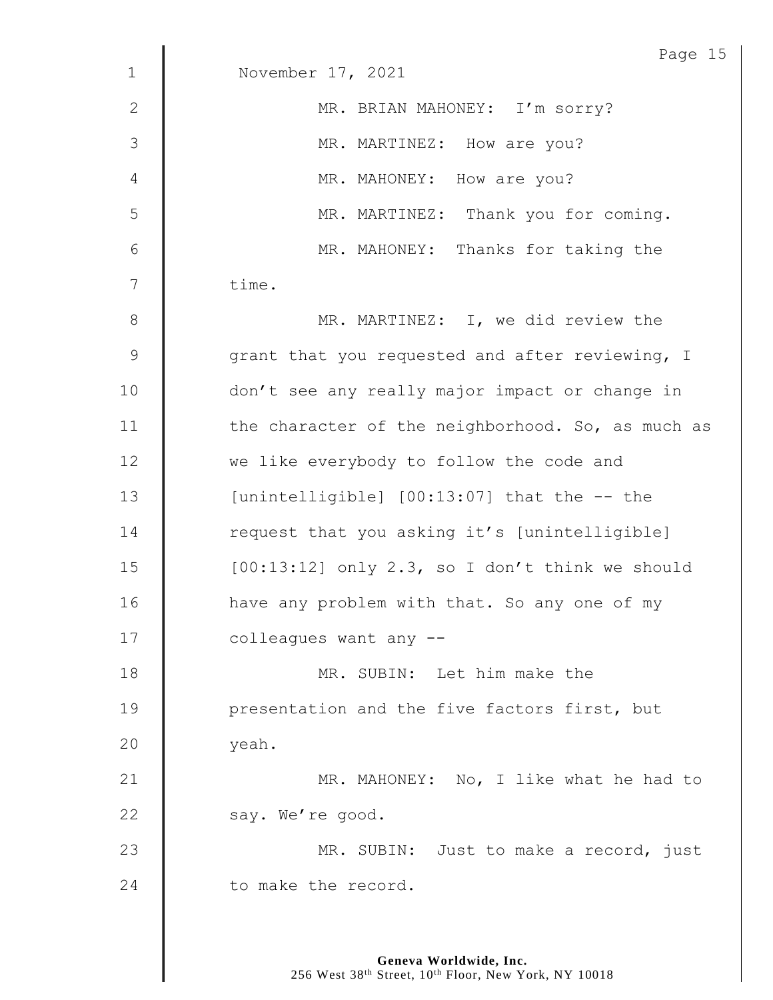|                | Page 15                                           |
|----------------|---------------------------------------------------|
| $\mathbf{1}$   | November 17, 2021                                 |
| $\mathbf{2}$   | MR. BRIAN MAHONEY: I'm sorry?                     |
| 3              | MR. MARTINEZ: How are you?                        |
| 4              | MR. MAHONEY: How are you?                         |
| 5              | MR. MARTINEZ: Thank you for coming.               |
| 6              | MR. MAHONEY: Thanks for taking the                |
| $\overline{7}$ | time.                                             |
| $8\,$          | MR. MARTINEZ: I, we did review the                |
| $\mathsf 9$    | grant that you requested and after reviewing, I   |
| 10             | don't see any really major impact or change in    |
| 11             | the character of the neighborhood. So, as much as |
| 12             | we like everybody to follow the code and          |
| 13             | [unintelligible] [00:13:07] that the -- the       |
| 14             | request that you asking it's [unintelligible]     |
| 15             | $[00:13:12]$ only 2.3, so I don't think we should |
| 16             | have any problem with that. So any one of my      |
| 17             | colleagues want any --                            |
| 18             | MR. SUBIN: Let him make the                       |
| 19             | presentation and the five factors first, but      |
| 20             | yeah.                                             |
| 21             | MR. MAHONEY: No, I like what he had to            |
| 22             | say. We're good.                                  |
| 23             | MR. SUBIN: Just to make a record, just            |
| 24             | to make the record.                               |
|                |                                                   |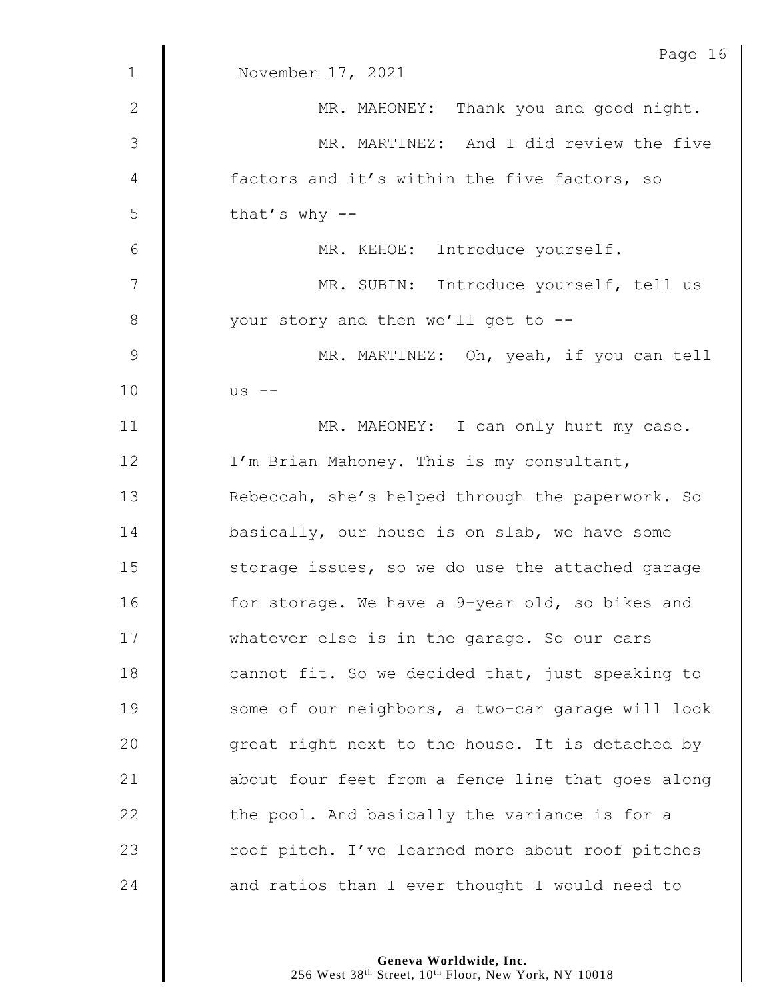|                | Page 16                                           |
|----------------|---------------------------------------------------|
| $\mathbf 1$    | November 17, 2021                                 |
| 2              | MR. MAHONEY: Thank you and good night.            |
| $\mathfrak{Z}$ | MR. MARTINEZ: And I did review the five           |
| 4              | factors and it's within the five factors, so      |
| 5              | that's why $--$                                   |
| 6              | MR. KEHOE: Introduce yourself.                    |
| 7              | MR. SUBIN: Introduce yourself, tell us            |
| 8              | your story and then we'll get to --               |
| $\mathsf 9$    | MR. MARTINEZ: Oh, yeah, if you can tell           |
| 10             | $us$ --                                           |
| 11             | MR. MAHONEY: I can only hurt my case.             |
| 12             | I'm Brian Mahoney. This is my consultant,         |
| 13             | Rebeccah, she's helped through the paperwork. So  |
| 14             | basically, our house is on slab, we have some     |
| 15             | storage issues, so we do use the attached garage  |
| 16             | for storage. We have a 9-year old, so bikes and   |
| 17             | whatever else is in the garage. So our cars       |
| 18             | cannot fit. So we decided that, just speaking to  |
| 19             | some of our neighbors, a two-car garage will look |
| 20             | great right next to the house. It is detached by  |
| 21             | about four feet from a fence line that goes along |
| 22             | the pool. And basically the variance is for a     |
| 23             | roof pitch. I've learned more about roof pitches  |
| 24             | and ratios than I ever thought I would need to    |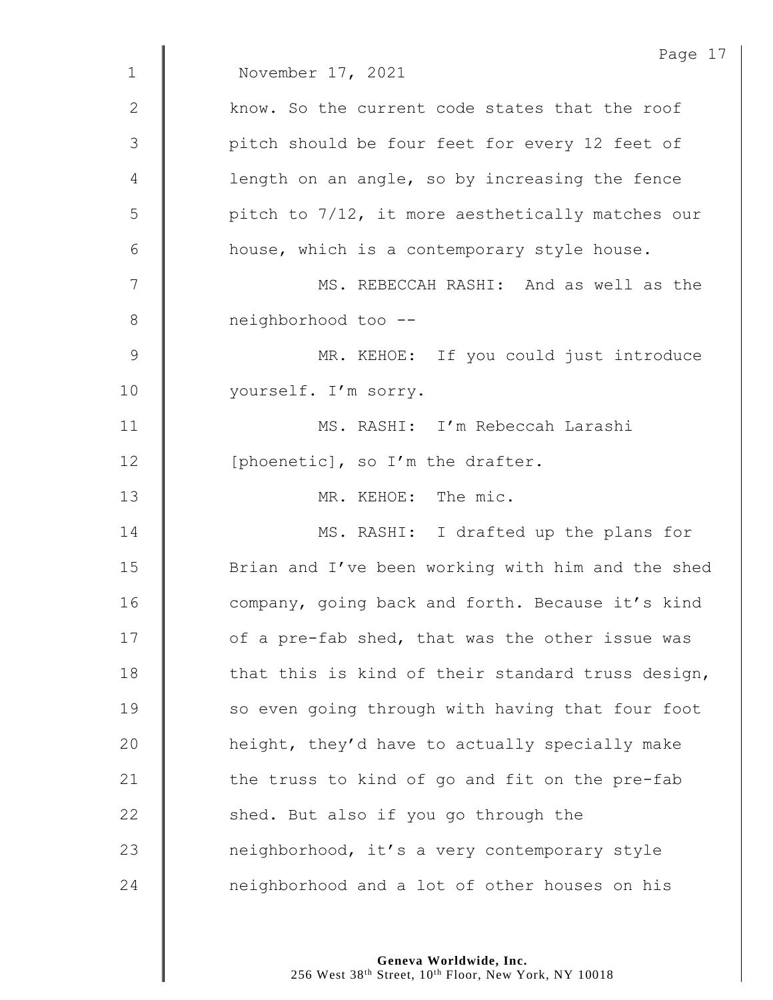|              | Page 17                                           |
|--------------|---------------------------------------------------|
| $\mathbf 1$  | November 17, 2021                                 |
| $\mathbf{2}$ | know. So the current code states that the roof    |
| 3            | pitch should be four feet for every 12 feet of    |
| 4            | length on an angle, so by increasing the fence    |
| 5            | pitch to 7/12, it more aesthetically matches our  |
| 6            | house, which is a contemporary style house.       |
| 7            | MS. REBECCAH RASHI: And as well as the            |
| 8            | neighborhood too --                               |
| $\mathsf 9$  | MR. KEHOE: If you could just introduce            |
| 10           | yourself. I'm sorry.                              |
| 11           | MS. RASHI: I'm Rebeccah Larashi                   |
| 12           | [phoenetic], so I'm the drafter.                  |
| 13           | MR. KEHOE: The mic.                               |
| 14           | MS. RASHI: I drafted up the plans for             |
| 15           | Brian and I've been working with him and the shed |
| 16           | company, going back and forth. Because it's kind  |
| 17           | of a pre-fab shed, that was the other issue was   |
| 18           | that this is kind of their standard truss design, |
| 19           | so even going through with having that four foot  |
| 20           | height, they'd have to actually specially make    |
| 21           | the truss to kind of go and fit on the pre-fab    |
| 22           | shed. But also if you go through the              |
| 23           | neighborhood, it's a very contemporary style      |
| 24           | neighborhood and a lot of other houses on his     |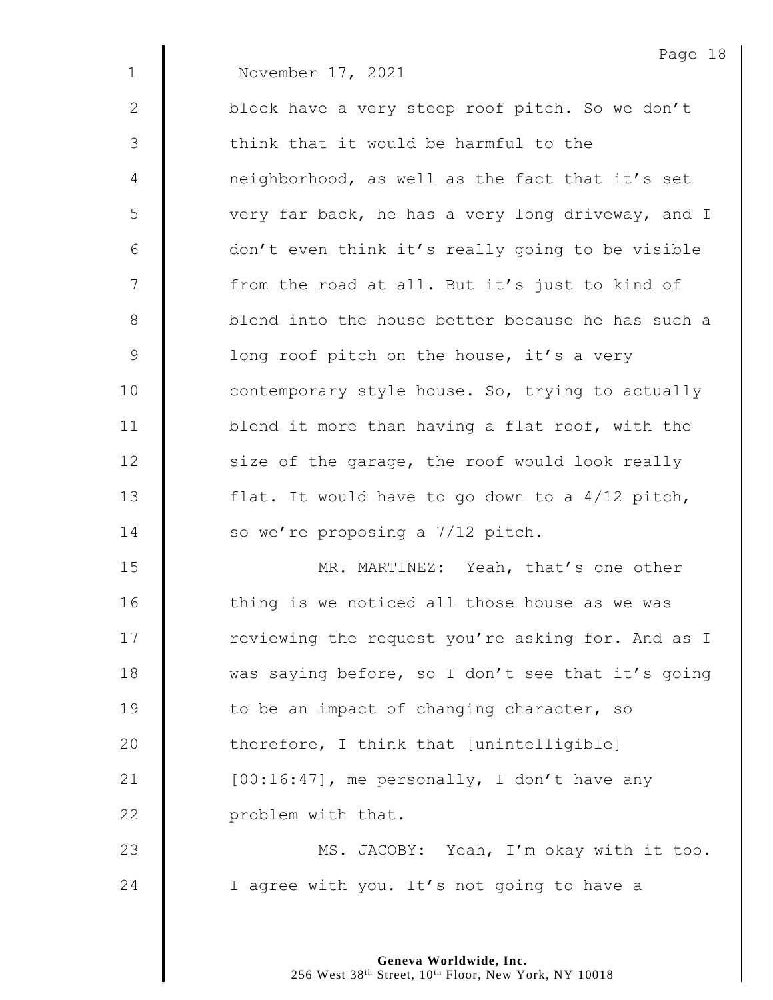|             | Page $18$                                         |
|-------------|---------------------------------------------------|
| $\mathbf 1$ | November 17, 2021                                 |
| 2           | block have a very steep roof pitch. So we don't   |
| 3           | think that it would be harmful to the             |
| 4           | neighborhood, as well as the fact that it's set   |
| 5           | very far back, he has a very long driveway, and I |
| 6           | don't even think it's really going to be visible  |
| 7           | from the road at all. But it's just to kind of    |
| 8           | blend into the house better because he has such a |
| $\mathsf 9$ | long roof pitch on the house, it's a very         |
| 10          | contemporary style house. So, trying to actually  |
| 11          | blend it more than having a flat roof, with the   |
| 12          | size of the garage, the roof would look really    |
| 13          | flat. It would have to go down to a $4/12$ pitch, |
| 14          | so we're proposing a 7/12 pitch.                  |
| 15          | MR. MARTINEZ: Yeah, that's one other              |
| 16          | thing is we noticed all those house as we was     |
| 17          | reviewing the request you're asking for. And as I |
| 18          | was saying before, so I don't see that it's going |
| 19          | to be an impact of changing character, so         |
| 20          | therefore, I think that [unintelligible]          |
| 21          | [00:16:47], me personally, I don't have any       |
| 22          | problem with that.                                |
| 23          | MS. JACOBY: Yeah, I'm okay with it too.           |
| 24          | I agree with you. It's not going to have a        |

Page 18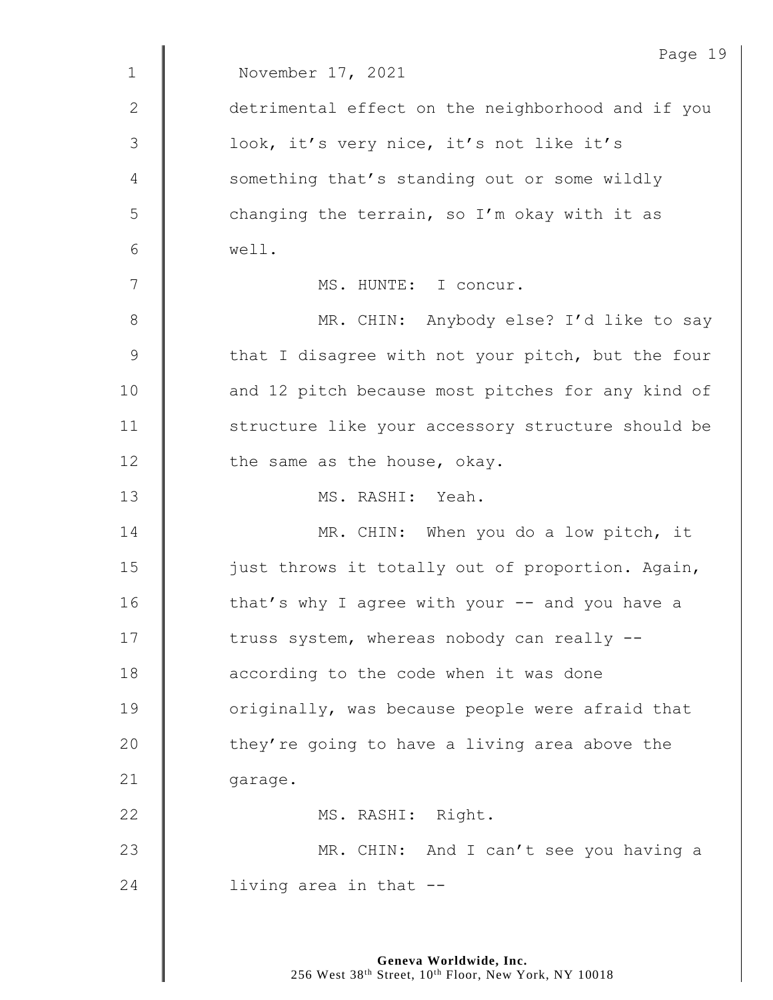|               | Page 19                                           |
|---------------|---------------------------------------------------|
| $\mathbf 1$   | November 17, 2021                                 |
| 2             | detrimental effect on the neighborhood and if you |
| $\mathcal{S}$ | look, it's very nice, it's not like it's          |
| 4             | something that's standing out or some wildly      |
| 5             | changing the terrain, so I'm okay with it as      |
| 6             | well.                                             |
| 7             | MS. HUNTE: I concur.                              |
| 8             | MR. CHIN: Anybody else? I'd like to say           |
| $\mathcal{G}$ | that I disagree with not your pitch, but the four |
| 10            | and 12 pitch because most pitches for any kind of |
| 11            | structure like your accessory structure should be |
| 12            | the same as the house, okay.                      |
| 13            | MS. RASHI: Yeah.                                  |
| 14            | MR. CHIN: When you do a low pitch, it             |
| 15            | just throws it totally out of proportion. Again,  |
| 16            | that's why I agree with your -- and you have a    |
| 17            | truss system, whereas nobody can really --        |
| 18            | according to the code when it was done            |
| 19            | originally, was because people were afraid that   |
| 20            | they're going to have a living area above the     |
| 21            | garage.                                           |
| 22            | MS. RASHI: Right.                                 |
| 23            | MR. CHIN: And I can't see you having a            |
| 24            | living area in that --                            |
|               |                                                   |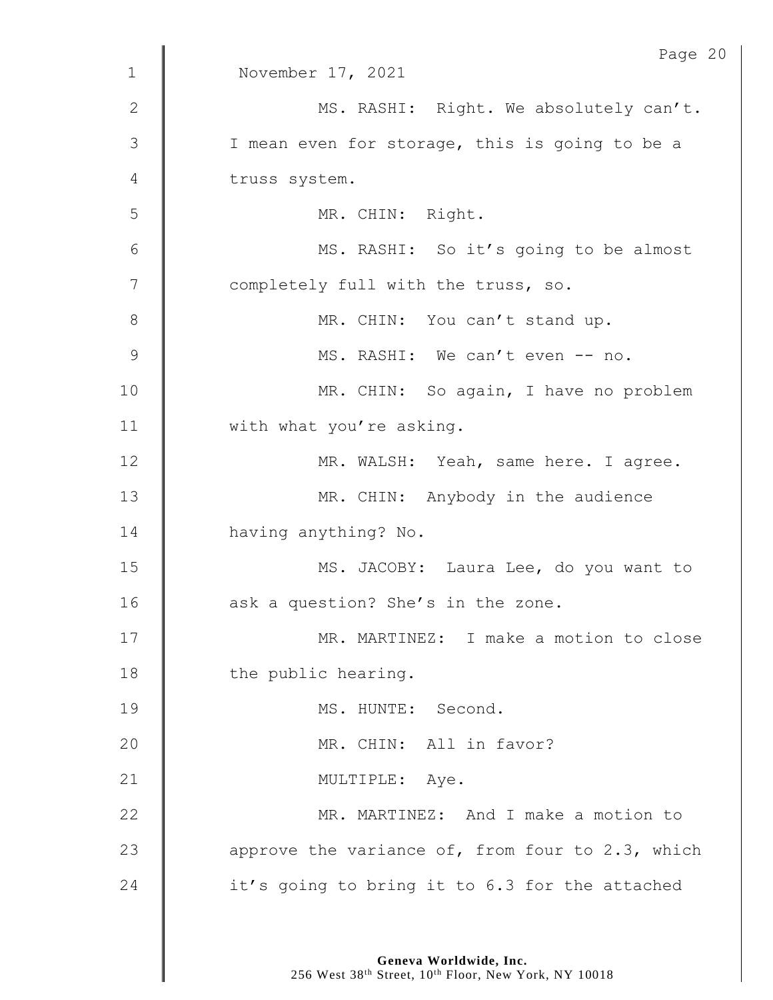|                | Page 20                                          |
|----------------|--------------------------------------------------|
| $\mathbf{1}$   | November 17, 2021                                |
| $\mathbf{2}$   | MS. RASHI: Right. We absolutely can't.           |
| 3              | I mean even for storage, this is going to be a   |
| 4              | truss system.                                    |
| 5              | MR. CHIN: Right.                                 |
| $\sqrt{6}$     | MS. RASHI: So it's going to be almost            |
| $\overline{7}$ | completely full with the truss, so.              |
| $8\,$          | MR. CHIN: You can't stand up.                    |
| $\mathcal{G}$  | MS. RASHI: We can't even -- no.                  |
| 10             | MR. CHIN: So again, I have no problem            |
| 11             | with what you're asking.                         |
| 12             | MR. WALSH: Yeah, same here. I agree.             |
| 13             | MR. CHIN: Anybody in the audience                |
| 14             | having anything? No.                             |
| 15             | MS. JACOBY: Laura Lee, do you want to            |
| 16             | ask a question? She's in the zone.               |
| 17             | MR. MARTINEZ: I make a motion to close           |
| 18             | the public hearing.                              |
| 19             | MS. HUNTE: Second.                               |
| 20             | MR. CHIN: All in favor?                          |
| 21             | MULTIPLE: Aye.                                   |
| 22             | MR. MARTINEZ: And I make a motion to             |
| 23             | approve the variance of, from four to 2.3, which |
| 24             | it's going to bring it to 6.3 for the attached   |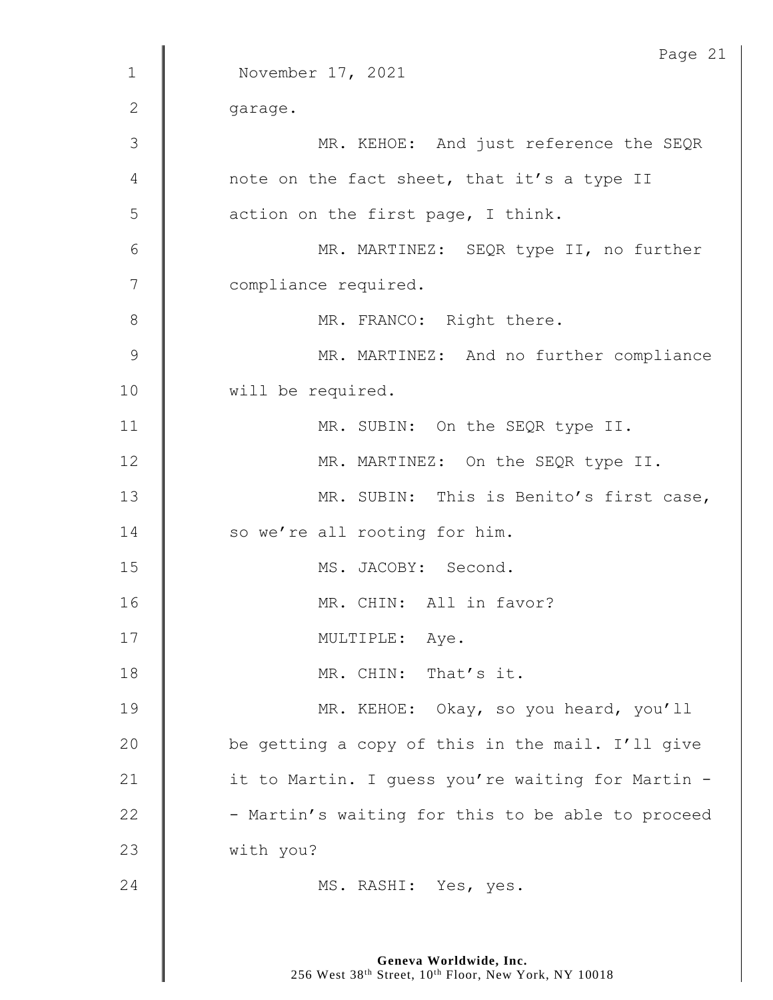|                | Page 21                                           |
|----------------|---------------------------------------------------|
| $\mathbf 1$    | November 17, 2021                                 |
| $\mathbf{2}$   | garage.                                           |
| 3              | MR. KEHOE: And just reference the SEQR            |
| 4              | note on the fact sheet, that it's a type II       |
| 5              | action on the first page, I think.                |
| $6\,$          | MR. MARTINEZ: SEQR type II, no further            |
| $\overline{7}$ | compliance required.                              |
| 8              | MR. FRANCO: Right there.                          |
| $\overline{9}$ | MR. MARTINEZ: And no further compliance           |
| 10             | will be required.                                 |
| 11             | MR. SUBIN: On the SEQR type II.                   |
| 12             | MR. MARTINEZ: On the SEQR type II.                |
| 13             | MR. SUBIN: This is Benito's first case,           |
| 14             | so we're all rooting for him.                     |
| 15             | MS. JACOBY: Second.                               |
| 16             | MR. CHIN: All in favor?                           |
| 17             | MULTIPLE: Aye.                                    |
| 18             | MR. CHIN: That's it.                              |
| 19             | MR. KEHOE: Okay, so you heard, you'll             |
| 20             | be getting a copy of this in the mail. I'll give  |
| 21             | it to Martin. I guess you're waiting for Martin - |
| 22             | - Martin's waiting for this to be able to proceed |
| 23             | with you?                                         |
| 24             | MS. RASHI: Yes, yes.                              |
|                |                                                   |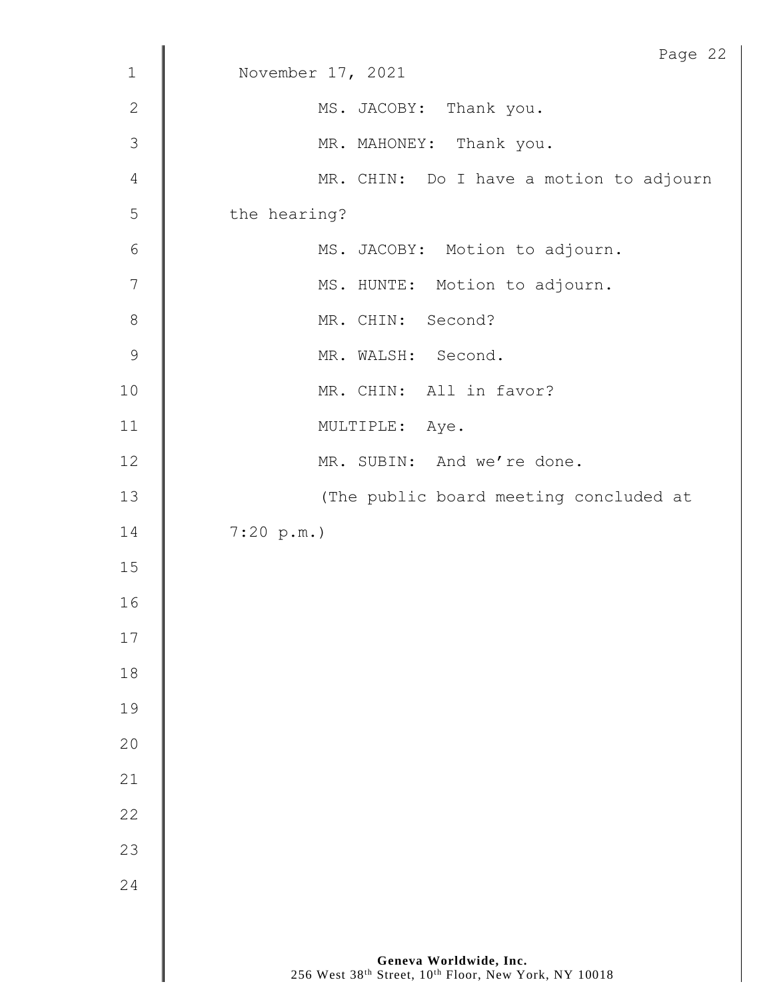| $1\,$          | Page 22<br>November 17, 2021            |
|----------------|-----------------------------------------|
|                |                                         |
| $\mathbf{2}$   | MS. JACOBY: Thank you.                  |
| 3              | MR. MAHONEY: Thank you.                 |
| $\sqrt{4}$     | MR. CHIN: Do I have a motion to adjourn |
| $\mathsf S$    | the hearing?                            |
| $\sqrt{6}$     | MS. JACOBY: Motion to adjourn.          |
| $\overline{7}$ | MS. HUNTE: Motion to adjourn.           |
| $\,8\,$        | MR. CHIN: Second?                       |
| $\mathsf 9$    | MR. WALSH: Second.                      |
| 10             | MR. CHIN: All in favor?                 |
| 11             | MULTIPLE: Aye.                          |
| 12             | MR. SUBIN: And we're done.              |
| $13$           | (The public board meeting concluded at  |
| 14             | 7:20 p.m.                               |
| $15$           |                                         |
| 16             |                                         |
| 17             |                                         |
| 18             |                                         |
| 19             |                                         |
| 20             |                                         |
| 21             |                                         |
| 22             |                                         |
| 23             |                                         |
| 24             |                                         |
|                |                                         |